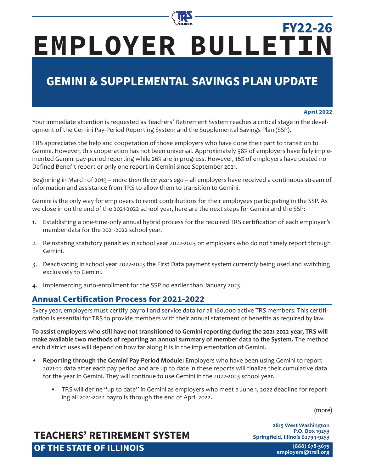

# **EMPLOYER BULLETIN FY22-26**

## **GEMINI & SUPPLEMENTAL SAVINGS PLAN UPDATE**

#### **April 2022**

Your immediate attention is requested as Teachers' Retirement System reaches a critical stage in the development of the Gemini Pay-Period Reporting System and the Supplemental Savings Plan (SSP).

TRS appreciates the help and cooperation of those employers who have done their part to transition to Gemini. However, this cooperation has not been universal. Approximately 58% of employers have fully implemented Gemini pay-period reporting while 26% are in progress. However, 16% of employers have posted no Defined Benefit report or only one report in Gemini since September 2021.

Beginning in March of 2019 – *more than three years ago* – all employers have received a continuous stream of information and assistance from TRS to allow them to transition to Gemini.

Gemini is the only way for employers to remit contributions for their employees participating in the SSP. As we close in on the end of the 2021-2022 school year, here are the next steps for Gemini and the SSP:

- 1. Establishing a one-time-only annual hybrid process for the required TRS certification of each employer's member data for the 2021-2022 school year.
- 2. Reinstating statutory penalties in school year 2022-2023 on employers who do not timely report through Gemini.
- 3. Deactivating in school year 2022-2023 the First Data payment system currently being used and switching exclusively to Gemini.
- 4. Implementing auto-enrollment for the SSP no earlier than January 2023.

### **Annual Certification Process for 2021-2022**

Every year, employers must certify payroll and service data for all 160,000 active TRS members. This certification is essential for TRS to provide members with their annual statement of benefits as required by law.

**To assist employers who still have not transitioned to Gemini reporting during the 2021-2022 year, TRS will make available two methods of reporting an annual summary of member data to the System.** The method each district uses will depend on how far along it is in the implementation of Gemini.

- **• Reporting through the Gemini Pay-Period Module:** Employers who have been using Gemini to report 2021-22 data after each pay period and are up to date in these reports will finalize their cumulative data for the year in Gemini. They will continue to use Gemini in the 2022-2023 school year.
	- TRS will define "up to date" in Gemini as employers who meet a June 1, 2022 deadline for reporting all 2021-2022 payrolls through the end of April 2022.

(more)

### **TEACHERS' RETIREMENT SYSTEM OF THE STATE OF ILLINOIS**

**2815 West Washington P.O. Box 19253 Springfield, Illinois 62794-9253**

> **(888) 678-3675 [employers@trsi](mailto:employers%40trs.illinois.gov?subject=)l.org**